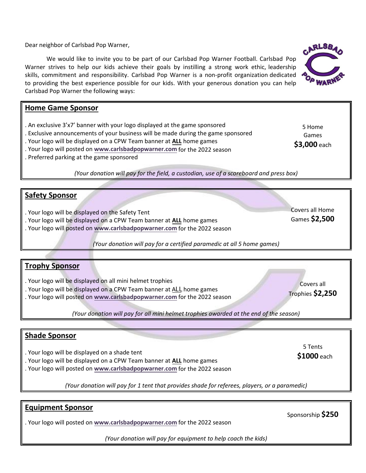Dear neighbor of Carlsbad Pop Warner,

We would like to invite you to be part of our Carlsbad Pop Warner Football. Carlsbad Pop Warner strives to help our kids achieve their goals by instilling a strong work ethic, leadership skills, commitment and responsibility. Carlsbad Pop Warner is a non-profit organization dedicated to providing the best experience possible for our kids. With your generous donation you can help Carlsbad Pop Warner the following ways:

#### **Home Game Sponsor**

- . An exclusive 3'x7' banner with your logo displayed at the game sponsored
- . Exclusive announcements of your business will be made during the game sponsored
- . Your logo will be displayed on a CPW Team banner at **ALL** home games
- . Your logo will posted on **[www.carlsbadpopwarner.com](http://www.carlsbadpopwarner.com/)** for the 2022 season
- . Preferred parking at the game sponsored

*(Your donation will pay for the field, a custodian, use of a scoreboard and press box)*

#### **Safety Sponsor**

- . Your logo will be displayed on the Safety Tent
- . Your logo will be displayed on a CPW Team banner at **ALL** home games
- . Your logo will posted on **[www.carlsbadpopwarner.com](http://www.carlsbadpopwarner.com/)** for the 2022 season

*(Your donation will pay for a certified paramedic at all 5 home games)*

## **Trophy Sponsor**

- . Your logo will be displayed on all mini helmet trophies
- . Your logo will be displayed on a CPW Team banner at ALL home games
- . Your logo will posted on **[www.carlsbadpopwarner.com](http://www.carlsbadpopwarner.com/)** for the 2022 season

*(Your donation will pay for all mini helmet trophies awarded at the end of the season)*

#### **Shade Sponsor**

- . Your logo will be displayed on a shade tent
- . Your logo will be displayed on a CPW Team banner at **ALL** home games
- . Your logo will posted on **[www.carlsbadpopwarner.com](http://www.carlsbadpopwarner.com/)** for the 2022 season

*(Your donation will pay for 1 tent that provides shade for referees, players, or a paramedic)*

## **Equipment Sponsor**

. Your logo will posted on **[www.carlsbadpopwarner.com](http://www.carlsbadpopwarner.com/)** for the 2022 season

Sponsorship **\$250**

*(Your donation will pay for equipment to help coach the kids)*

Trophies **\$2,250**

Covers all Home Games **\$2,500**

Covers all

5 Home Games

**\$3,000** each